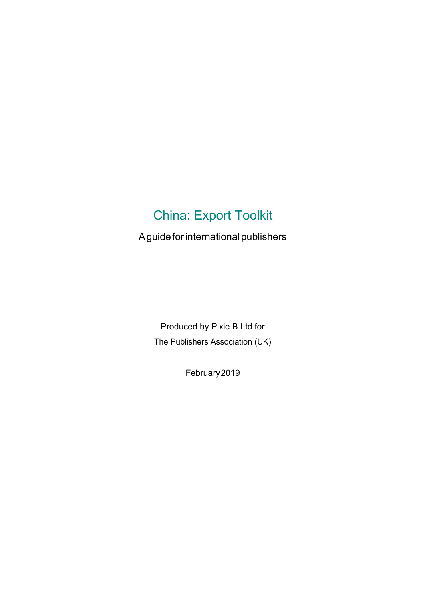# China: Export Toolkit

A guide for international publishers

Produced by Pixie B Ltd for The Publishers Association (UK)

February2019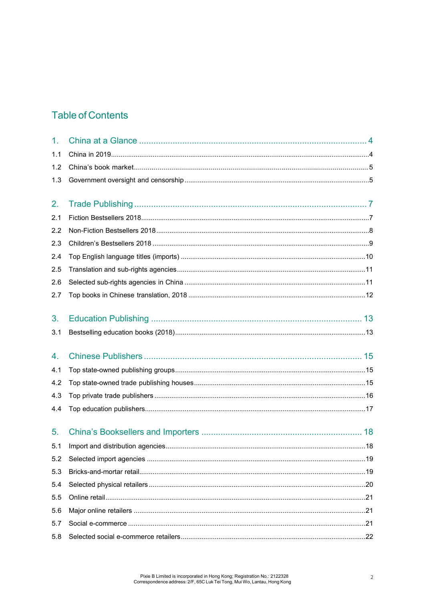# **Table of Contents**

| 1 <sub>1</sub> |  |
|----------------|--|
| 1.1            |  |
| 1.2            |  |
| 1.3            |  |
| 2.             |  |
| 2.1            |  |
| 2.2            |  |
| 2.3            |  |
| 2.4            |  |
| 2.5            |  |
| 2.6            |  |
| 2.7            |  |
| 3.             |  |
| 3.1            |  |
|                |  |
| 4.             |  |
| 4.1            |  |
| 4.2            |  |
| 4.3            |  |
| 4.4            |  |
| 5.             |  |
| 5.1            |  |
| 5.2            |  |
| 5.3            |  |
| 5.4            |  |
| 5.5            |  |
| 5.6            |  |
| 5.7            |  |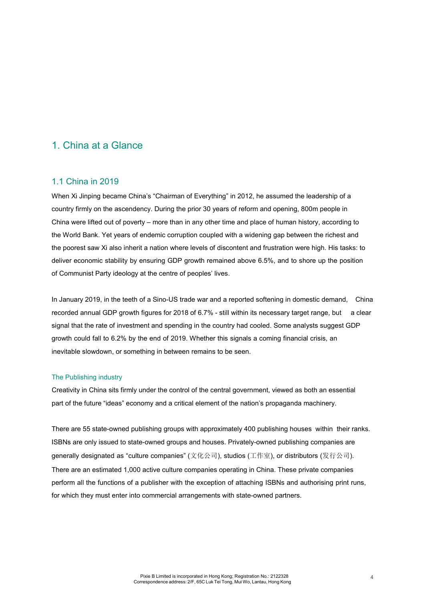### 1. China at a Glance

#### 1.1 China in 2019

When Xi Jinping became China's "Chairman of Everything" in 2012, he assumed the leadership of a country firmly on the ascendency. During the prior 30 years of reform and opening, 800m people in China were lifted out of poverty – more than in any other time and place of human history, according to the World Bank. Yet years of endemic corruption coupled with a widening gap between the richest and the poorest saw Xi also inherit a nation where levels of discontent and frustration were high. His tasks: to deliver economic stability by ensuring GDP growth remained above 6.5%, and to shore up the position of Communist Party ideology at the centre of peoples' lives.

In January 2019, in the teeth of a Sino-US trade war and a reported softening in domestic demand, China recorded annual GDP growth figures for 2018 of 6.7% - still within its necessary target range, but a clear signal that the rate of investment and spending in the country had cooled. Some analysts suggest GDP growth could fall to 6.2% by the end of 2019. Whether this signals a coming financial crisis, an inevitable slowdown, or something in between remains to be seen.

#### The Publishing industry

Creativity in China sits firmly under the control of the central government, viewed as both an essential part of the future "ideas" economy and a critical element of the nation's propaganda machinery.

There are 55 state-owned publishing groups with approximately 400 publishing houses within their ranks. ISBNs are only issued to state-owned groups and houses. Privately-owned publishing companies are generally designated as "culture companies" (文化公司), studios (工作室), or distributors (发行公司). There are an estimated 1,000 active culture companies operating in China. These private companies perform all the functions of a publisher with the exception of attaching ISBNs and authorising print runs, for which they must enter into commercial arrangements with state-owned partners.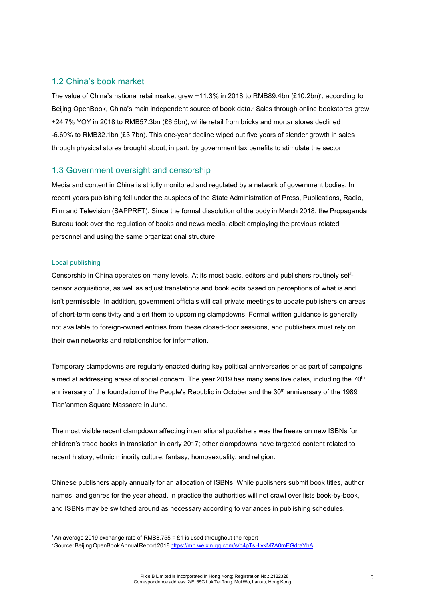#### 1.2 China's book market

The value of China's national retail market grew +11.3% in 2018 to RMB89.4bn (£10.2bn)<sup>1</sup>, according to Beijing OpenBook, China's main independent source of book data. 2 Sales through online bookstores grew +24.7% YOY in 2018 to RMB57.3bn (£6.5bn), while retail from bricks and mortar stores declined -6.69% to RMB32.1bn (£3.7bn). This one-year decline wiped out five years of slender growth in sales through physical stores brought about, in part, by government tax benefits to stimulate the sector.

#### 1.3 Government oversight and censorship

Media and content in China is strictly monitored and regulated by a network of government bodies. In recent years publishing fell under the auspices of the State Administration of Press, Publications, Radio, Film and Television (SAPPRFT). Since the formal dissolution of the body in March 2018, the Propaganda Bureau took over the regulation of books and news media, albeit employing the previous related personnel and using the same organizational structure.

#### Local publishing

Censorship in China operates on many levels. At its most basic, editors and publishers routinely selfcensor acquisitions, as well as adjust translations and book edits based on perceptions of what is and isn't permissible. In addition, government officials will call private meetings to update publishers on areas of short-term sensitivity and alert them to upcoming clampdowns. Formal written guidance is generally not available to foreign-owned entities from these closed-door sessions, and publishers must rely on their own networks and relationships for information.

Temporary clampdowns are regularly enacted during key political anniversaries or as part of campaigns aimed at addressing areas of social concern. The year 2019 has many sensitive dates, including the  $70<sup>th</sup>$ anniversary of the foundation of the People's Republic in October and the 30<sup>th</sup> anniversary of the 1989 Tian'anmen Square Massacre in June.

The most visible recent clampdown affecting international publishers was the freeze on new ISBNs for children's trade books in translation in early 2017; other clampdowns have targeted content related to recent history, ethnic minority culture, fantasy, homosexuality, and religion.

Chinese publishers apply annually for an allocation of ISBNs. While publishers submit book titles, author names, and genres for the year ahead, in practice the authorities will not crawl over lists book-by-book, and ISBNs may be switched around as necessary according to variances in publishing schedules.

<sup>&</sup>lt;sup>1</sup> An average 2019 exchange rate of RMB8.755 = £1 is used throughout the report

<sup>2</sup>Source:BeijingOpenBookAnnualReport 2018 https://mp.weixin.qq.com/s/p4pTsHlvkM7A0mEGdraYhA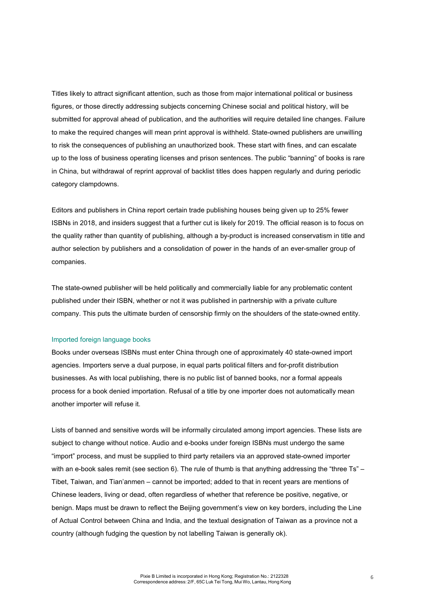Titles likely to attract significant attention, such as those from major international political or business figures, or those directly addressing subjects concerning Chinese social and political history, will be submitted for approval ahead of publication, and the authorities will require detailed line changes. Failure to make the required changes will mean print approval is withheld. State-owned publishers are unwilling to risk the consequences of publishing an unauthorized book. These start with fines, and can escalate up to the loss of business operating licenses and prison sentences. The public "banning" of books is rare in China, but withdrawal of reprint approval of backlist titles does happen regularly and during periodic category clampdowns.

Editors and publishers in China report certain trade publishing houses being given up to 25% fewer ISBNs in 2018, and insiders suggest that a further cut is likely for 2019. The official reason is to focus on the quality rather than quantity of publishing, although a by-product is increased conservatism in title and author selection by publishers and a consolidation of power in the hands of an ever-smaller group of companies.

The state-owned publisher will be held politically and commercially liable for any problematic content published under their ISBN, whether or not it was published in partnership with a private culture company. This puts the ultimate burden of censorship firmly on the shoulders of the state-owned entity.

#### Imported foreign language books

Books under overseas ISBNs must enter China through one of approximately 40 state-owned import agencies. Importers serve a dual purpose, in equal parts political filters and for-profit distribution businesses. As with local publishing, there is no public list of banned books, nor a formal appeals process for a book denied importation. Refusal of a title by one importer does not automatically mean another importer will refuse it.

Lists of banned and sensitive words will be informally circulated among import agencies. These lists are subject to change without notice. Audio and e-books under foreign ISBNs must undergo the same "import" process, and must be supplied to third party retailers via an approved state-owned importer with an e-book sales remit (see section 6). The rule of thumb is that anything addressing the "three Ts" – Tibet, Taiwan, and Tian'anmen – cannot be imported; added to that in recent years are mentions of Chinese leaders, living or dead, often regardless of whether that reference be positive, negative, or benign. Maps must be drawn to reflect the Beijing government's view on key borders, including the Line of Actual Control between China and India, and the textual designation of Taiwan as a province not a country (although fudging the question by not labelling Taiwan is generally ok).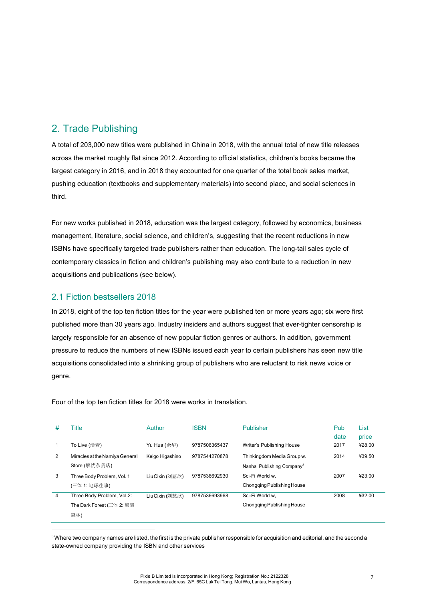## 2. Trade Publishing

A total of 203,000 new titles were published in China in 2018, with the annual total of new title releases across the market roughly flat since 2012. According to official statistics, children's books became the largest category in 2016, and in 2018 they accounted for one quarter of the total book sales market, pushing education (textbooks and supplementary materials) into second place, and social sciences in third.

For new works published in 2018, education was the largest category, followed by economics, business management, literature, social science, and children's, suggesting that the recent reductions in new ISBNs have specifically targeted trade publishers rather than education. The long-tail sales cycle of contemporary classics in fiction and children's publishing may also contribute to a reduction in new acquisitions and publications (see below).

#### 2.1 Fiction bestsellers 2018

In 2018, eight of the top ten fiction titles for the year were published ten or more years ago; six were first published more than 30 years ago. Industry insiders and authors suggest that ever-tighter censorship is largely responsible for an absence of new popular fiction genres or authors. In addition, government pressure to reduce the numbers of new ISBNs issued each year to certain publishers has seen new title acquisitions consolidated into a shrinking group of publishers who are reluctant to risk news voice or genre.

Four of the top ten fiction titles for 2018 were works in translation.

| #              | ⊺itle                          | Author          | <b>ISBN</b>   | <b>Publisher</b>                       | Pub          | List            |
|----------------|--------------------------------|-----------------|---------------|----------------------------------------|--------------|-----------------|
|                | To Live (活着)                   | Yu Hua (余华)     | 9787506365437 | Writer's Publishing House              | date<br>2017 | price<br>¥28.00 |
| 2              | Miracles at the Namiya General | Keigo Higashino | 9787544270878 | Thinkingdom Media Group w.             | 2014         | ¥39.50          |
|                | Store (解忧杂货店)                  |                 |               | Nanhai Publishing Company <sup>3</sup> |              |                 |
| 3              | Three Body Problem, Vol. 1     | Liu Cixin (刘慈欣) | 9787536692930 | Sci-Fi World w.                        | 2007         | 423.00          |
|                | (三体 1: 地球往事)                   |                 |               | Chongging Publishing House             |              |                 |
| $\overline{4}$ | Three Body Problem, Vol.2:     | Liu Cixin (刘慈欣) | 9787536693968 | Sci-Fi World w.                        | 2008         | ¥32.00          |
|                | The Dark Forest (三体 2: 黑暗      |                 |               | Chongging Publishing House             |              |                 |
|                | 森林)                            |                 |               |                                        |              |                 |

<sup>&</sup>lt;sup>3</sup> Where two company names are listed, the first is the private publisher responsible for acquisition and editorial, and the second a state-owned company providing the ISBN and other services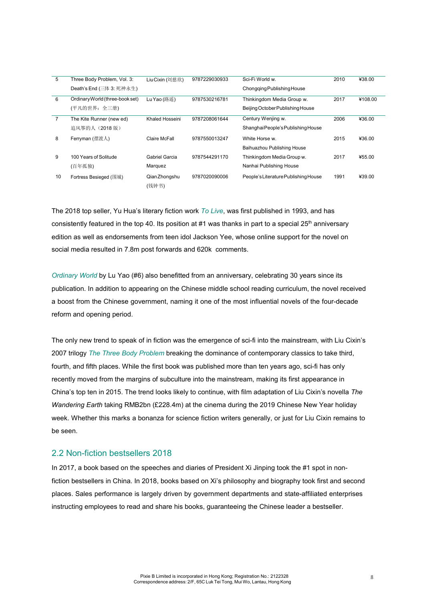| 5              | Three Body Problem, Vol. 3:     | Liu Cixin (刘慈欣)        | 9787229030933 | Sci-Fi World w.                      | 2010 | ¥38.00  |
|----------------|---------------------------------|------------------------|---------------|--------------------------------------|------|---------|
|                | Death's End (三体 3: 死神永生)        |                        |               | Chongging Publishing House           |      |         |
| 6              | Ordinary World (three-book set) | Lu Yao (路遥)            | 9787530216781 | Thinkingdom Media Group w.           | 2017 | ¥108.00 |
|                | (平凡的世界: 全三册)                    |                        |               | Beijing October Publishing House     |      |         |
| $\overline{7}$ | The Kite Runner (new ed)        | Khaled Hosseini        | 9787208061644 | Century Wenjing w.                   | 2006 | ¥36.00  |
|                | 追风筝的人 (2018版)                   |                        |               | Shanghai People's Publishing House   |      |         |
| 8              | Ferryman (摆渡人)                  | Claire McFall          | 9787550013247 | White Horse w.                       | 2015 | ¥36.00  |
|                |                                 |                        |               | Baihuazhou Publishing House          |      |         |
| 9              | 100 Years of Solitude           | Gabriel Garcia         | 9787544291170 | Thinkingdom Media Group w.           | 2017 | ¥55.00  |
|                | (百年孤独)                          | Marquez                |               | Nanhai Publishing House              |      |         |
| 10             | Fortress Besieged (围城)          | Qian Zhongshu<br>(钱钟书) | 9787020090006 | People's Literature Publishing House | 1991 | ¥39.00  |

The 2018 top seller, Yu Hua's literary fiction work *To Live*, was first published in 1993, and has consistently featured in the top 40. Its position at #1 was thanks in part to a special  $25<sup>th</sup>$  anniversary edition as well as endorsements from teen idol Jackson Yee, whose online support for the novel on social media resulted in 7.8m post forwards and 620k comments.

*Ordinary World* by Lu Yao (#6) also benefitted from an anniversary, celebrating 30 years since its publication. In addition to appearing on the Chinese middle school reading curriculum, the novel received a boost from the Chinese government, naming it one of the most influential novels of the four-decade reform and opening period.

The only new trend to speak of in fiction was the emergence of sci-fi into the mainstream, with Liu Cixin's 2007 trilogy *The Three Body Problem* breaking the dominance of contemporary classics to take third, fourth, and fifth places. While the first book was published more than ten years ago, sci-fi has only recently moved from the margins of subculture into the mainstream, making its first appearance in China's top ten in 2015. The trend looks likely to continue, with film adaptation of Liu Cixin's novella *The Wandering Earth* taking RMB2bn (£228.4m) at the cinema during the 2019 Chinese New Year holiday week. Whether this marks a bonanza for science fiction writers generally, or just for Liu Cixin remains to be seen.

#### 2.2 Non-fiction bestsellers 2018

In 2017, a book based on the speeches and diaries of President Xi Jinping took the #1 spot in nonfiction bestsellers in China. In 2018, books based on Xi's philosophy and biography took first and second places. Sales performance is largely driven by government departments and state-affiliated enterprises instructing employees to read and share his books, guaranteeing the Chinese leader a bestseller.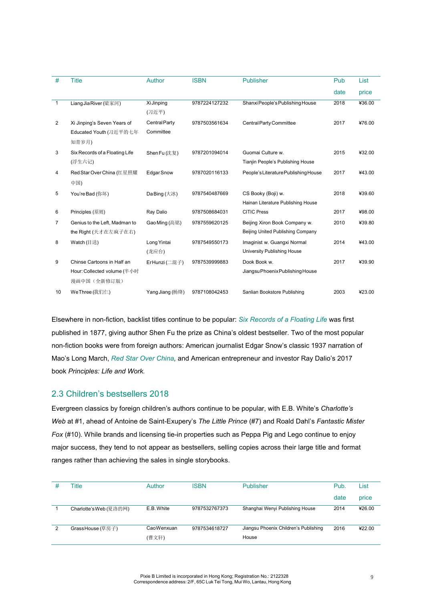| #              | <b>Title</b>                   | Author               | <b>ISBN</b>   | <b>Publisher</b>                     | Pub  | List   |
|----------------|--------------------------------|----------------------|---------------|--------------------------------------|------|--------|
|                |                                |                      |               |                                      | date | price  |
| 1              | Liang Jia River (梁家河)          | Xi Jinping           | 9787224127232 | Shanxi People's Publishing House     | 2018 | ¥36.00 |
|                |                                | (习近平)                |               |                                      |      |        |
| $\overline{2}$ | Xi Jinping's Seven Years of    | <b>Central Party</b> | 9787503561634 | Central Party Committee              | 2017 | ¥76.00 |
|                | Educated Youth (习近平的七年         | Committee            |               |                                      |      |        |
|                | 知青岁月)                          |                      |               |                                      |      |        |
| 3              | Six Records of a Floating Life | Shen Fu (沈复)         | 9787201094014 | Guomai Culture w.                    | 2015 | ¥32.00 |
|                | (浮生六记)                         |                      |               | Tianjin People's Publishing House    |      |        |
| 4              | Red Star Over China (红星照耀      | <b>Edgar Snow</b>    | 9787020116133 | People's Literature Publishing House | 2017 | ¥43.00 |
|                | 中国)                            |                      |               |                                      |      |        |
| 5              | You're Bad (你坏)                | Da Bing (大冰)         | 9787540487669 | CS Booky (Boji) w.                   | 2018 | ¥39.60 |
|                |                                |                      |               | Hainan Literature Publishing House   |      |        |
| 6              | Principles (原则)                | Ray Dalio            | 9787508684031 | <b>CITIC Press</b>                   | 2017 | ¥98.00 |
| 7              | Genius to the Left, Madman to  | Gao Ming (高铭)        | 9787559620125 | Beijing Xiron Book Company w.        | 2010 | ¥39.80 |
|                | the Right (天才在左疯子在右)           |                      |               | Beijing United Publishing Company    |      |        |
| 8              | Watch (目送)                     | Long Yintai          | 9787549550173 | Imaginist w. Guangxi Normal          | 2014 | 443.00 |
|                |                                | (龙应台)                |               | University Publishing House          |      |        |
| 9              | Chinse Cartoons in Half an     | ErHunzi (二混子)        | 9787539999883 | Dook Book w.                         | 2017 | ¥39.90 |
|                | Hour: Collected volume (半小时    |                      |               | JiangsuPhoenixPublishingHouse        |      |        |
|                | 漫画中国(全新修订版)                    |                      |               |                                      |      |        |
| 10             | WeThree (我们仨)                  | Yang Jiang (杨绛)      | 9787108042453 | Sanlian Bookstore Publishing         | 2003 | ¥23.00 |
|                |                                |                      |               |                                      |      |        |

Elsewhere in non-fiction, backlist titles continue to be popular: *Six Records of a Floating Life* was first published in 1877, giving author Shen Fu the prize as China's oldest bestseller. Two of the most popular non-fiction books were from foreign authors: American journalist Edgar Snow's classic 1937 narration of Mao's Long March, *Red Star Over China,* and American entrepreneur and investor Ray Dalio's 2017 book *Principles: Life and Work.*

### 2.3 Children's bestsellers 2018

Evergreen classics by foreign children's authors continue to be popular, with E.B. White's *Charlotte's Web* at #1, ahead of Antoine de Saint-Exupery's *The Little Prince* (#7) and Roald Dahl's *Fantastic Mister Fox* (#10). While brands and licensing tie-in properties such as Peppa Pig and Lego continue to enjoy major success, they tend to not appear as bestsellers, selling copies across their large title and format ranges rather than achieving the sales in single storybooks.

| Title                  | Author     | <b>ISBN</b>   | <b>Publisher</b>                      | Pub. | List   |
|------------------------|------------|---------------|---------------------------------------|------|--------|
|                        |            |               |                                       | date | price  |
| Charlotte's Web (夏洛的网) | E.B. White | 9787532767373 | Shanghai Wenyi Publishing House       | 2014 | ¥26.00 |
|                        |            |               |                                       |      |        |
| Grass House (草房子)      | CaoWenxuan | 9787534618727 | Jiangsu Phoenix Children's Publishing | 2016 | 422.00 |
|                        | (曹文轩)      |               | House                                 |      |        |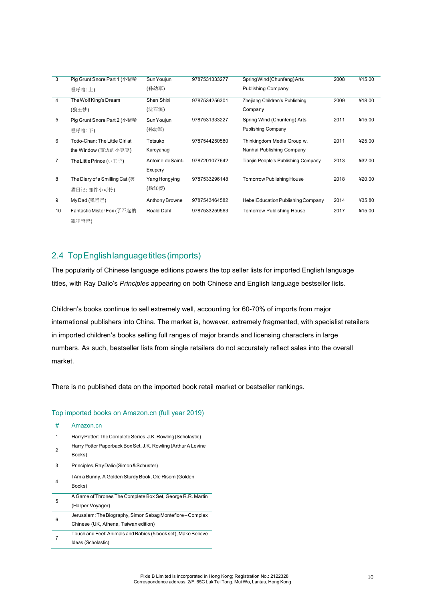| 3  | Pig Grunt Snore Part 1 (小猪唏    | Sun Youjun        | 9787531333277 | Spring Wind (Chunfeng) Arts         | 2008 | ¥15.00 |
|----|--------------------------------|-------------------|---------------|-------------------------------------|------|--------|
|    | 哩呼噜:上)                         | (孙幼军)             |               | <b>Publishing Company</b>           |      |        |
| 4  | The Wolf King's Dream          | Shen Shixi        | 9787534256301 | Zhejiang Children's Publishing      | 2009 | ¥18.00 |
|    | (狼王梦)                          | (沈石溪)             |               | Company                             |      |        |
| 5  | Pig Grunt Snore Part 2 (小猪唏    | Sun Youjun        | 9787531333227 | Spring Wind (Chunfeng) Arts         | 2011 | ¥15.00 |
|    | 哩呼噜:下)                         | (孙幼军)             |               | <b>Publishing Company</b>           |      |        |
| 6  | Totto-Chan: The Little Girl at | Tetsuko           | 9787544250580 | Thinkingdom Media Group w.          | 2011 | ¥25.00 |
|    | the Window (窗边的小豆豆)            | Kuroyanagi        |               | Nanhai Publishing Company           |      |        |
| 7  | The Little Prince (小王子)        | Antoine de Saint- | 9787201077642 | Tianjin People's Publishing Company | 2013 | ¥32.00 |
|    |                                | Exupery           |               |                                     |      |        |
| 8  | The Diary of a Smilling Cat (笑 | Yang Hongying     | 9787533296148 | Tomorrow Publishing House           | 2018 | ¥20.00 |
|    | 猫日记: 邮件小可怜)                    | (杨红樱)             |               |                                     |      |        |
| 9  | MyDad (我爸爸)                    | Anthony Browne    | 9787543464582 | Hebei Education Publishing Company  | 2014 | ¥35.80 |
| 10 | Fantastic Mister Fox (了不起的     | Roald Dahl        | 9787533259563 | <b>Tomorrow Publishing House</b>    | 2017 | ¥15.00 |
|    | 狐狸爸爸)                          |                   |               |                                     |      |        |

### 2.4 TopEnglishlanguagetitles(imports)

The popularity of Chinese language editions powers the top seller lists for imported English language titles, with Ray Dalio's *Principles* appearing on both Chinese and English language bestseller lists.

Children's books continue to sell extremely well, accounting for 60-70% of imports from major international publishers into China. The market is, however, extremely fragmented, with specialist retailers in imported children's books selling full ranges of major brands and licensing characters in large numbers. As such, bestseller lists from single retailers do not accurately reflect sales into the overall market.

There is no published data on the imported book retail market or bestseller rankings.

#### Top imported books on Amazon.cn (full year 2019)

1 HarryPotter:TheCompleteSeries, J.K. Rowling(Scholastic) Harry Potter Paperback Box Set, J,K. Rowling (Arthur A Levine

# Amazon.cn

 $\overline{2}$ 

|   | Books)                                                                                             |
|---|----------------------------------------------------------------------------------------------------|
| 3 | Principles, Ray Dalio (Simon & Schuster)                                                           |
| 4 | I Am a Bunny, A Golden Sturdy Book, Ole Risom (Golden<br>Books)                                    |
| 5 | A Game of Thrones The Complete Box Set, George R.R. Martin<br>(Harper Voyager)                     |
| 6 | Jerusalem: The Biography, Simon Sebag Montefiore – Complex<br>Chinese (UK, Athena, Taiwan edition) |
|   | Touch and Feel: Animals and Babies (5 book set), Make Believe<br>Ideas (Scholastic)                |
|   |                                                                                                    |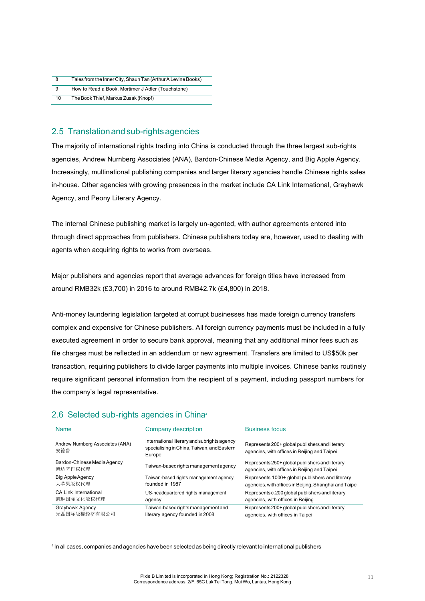| Tales from the Inner City, Shaun Tan (Arthur A Levine Books) |
|--------------------------------------------------------------|
|                                                              |

 $\overline{q}$ How to Read a Book, Mortimer J Adler (Touchstone)

10 The Book Thief, Markus Zusak (Knopf)

### 2.5 Translation and sub-rights agencies

The majority of international rights trading into China is conducted through the three largest sub-rights agencies, Andrew Nurnberg Associates (ANA), Bardon-Chinese Media Agency, and Big Apple Agency. Increasingly, multinational publishing companies and larger literary agencies handle Chinese rights sales in-house. Other agencies with growing presences in the market include CA Link International, Grayhawk Agency, and Peony Literary Agency.

The internal Chinese publishing market is largely un-agented, with author agreements entered into through direct approaches from publishers. Chinese publishers today are, however, used to dealing with agents when acquiring rights to works from overseas.

Major publishers and agencies report that average advances for foreign titles have increased from around RMB32k (£3,700) in 2016 to around RMB42.7k (£4,800) in 2018.

Anti-money laundering legislation targeted at corrupt businesses has made foreign currency transfers complex and expensive for Chinese publishers. All foreign currency payments must be included in a fully executed agreement in order to secure bank approval, meaning that any additional minor fees such as file charges must be reflected in an addendum or new agreement. Transfers are limited to US\$50k per transaction, requiring publishers to divide larger payments into multiple invoices. Chinese banks routinely require significant personal information from the recipient of a payment, including passport numbers for the company's legal representative.

### 2.6 Selected sub-rights agencies in China4

| <b>Name</b>                             | Company description                                                                                 | <b>Business focus</b>                                                                          |
|-----------------------------------------|-----------------------------------------------------------------------------------------------------|------------------------------------------------------------------------------------------------|
| Andrew Nurnberg Associates (ANA)<br>安德鲁 | International literary and subrights agency<br>specialising in China, Taiwan, and Eastern<br>Europe | Represents 200+ global publishers and literary<br>agencies, with offices in Beijing and Taipei |
| Bardon-Chinese Media Agency<br>博达著作权代理  | Taiwan-based rights management agency                                                               | Represents 250+ global publishers and literary<br>agencies, with offices in Beijing and Taipei |
| <b>Big Apple Agency</b>                 | Taiwan-based rights management agency                                                               | Represents 1000+ global publishers and literary                                                |
| 大苹果版权代理                                 | founded in 1987                                                                                     | agencies, with offices in Beijing, Shanghai and Taipei                                         |
| <b>CA Link International</b>            | US-headquartered rights management                                                                  | Represents c.200 global publishers and literary                                                |
| 凯琳国际文化版权代理                              | agency                                                                                              | agencies, with offices in Beijing                                                              |
| Grayhawk Agency                         | Taiwan-based rights management and                                                                  | Represents 200+ global publishers and literary                                                 |
| 光磊国际版權经济有限公司                            | literary agency founded in 2008                                                                     | agencies, with offices in Taipei                                                               |

<sup>4</sup> In all cases, companies and agencies have been selected as being directly relevant to international publishers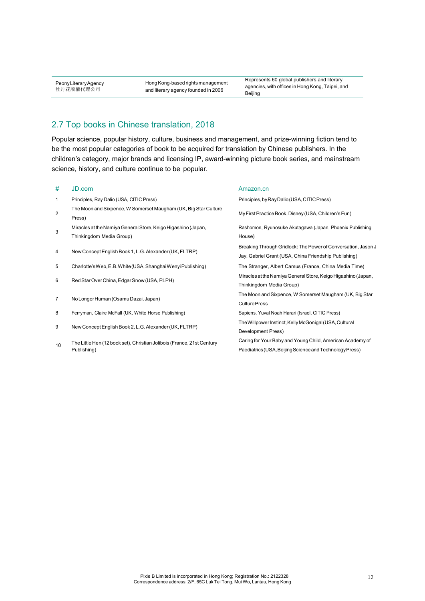PeonyLiteraryAgency 牡丹花版權代理公司

Hong Kong-based rights management and literary agency founded in 2006

Represents 60 global publishers and literary agencies, with offices in Hong Kong, Taipei, and Beijing

### 2.7 Top books in Chinese translation, 2018

Popular science, popular history, culture, business and management, and prize-winning fiction tend to be the most popular categories of book to be acquired for translation by Chinese publishers. In the children's category, major brands and licensing IP, award-winning picture book series, and mainstream science, history, and culture continue to be popular.

#### # JD.com

- 1 Principles, Ray Dalio (USA, CITIC Press)
- The Moon and Sixpence, W Somerset Maugham (UK, Big Star Culture Press) 2 My First Practice Book, Disney (USA, Children's Fun)
- Miracles at the Namiya General Store, Keigo Higashino (Japan, Thinkingdom Media Group) 3
- 4 NewConceptEnglishBook 1, L.G.Alexander(UK,FLTRP)
- 5 Charlotte'sWeb,E.B.White(USA,ShanghaiWenyiPublishing)
- 6 RedStarOverChina,EdgarSnow(USA,PLPH)
- 7 NoLongerHuman (OsamuDazai, Japan)
- 8 Ferryman, Claire McFall (UK, White Horse Publishing) Sapiens, Yuval Noah Harari (Israel, CITIC Press)
- 9 New Concept English Book 2, L.G. Alexander (UK, FLTRP)
- The Little Hen (12 book set), Christian Jolibois (France, 21st Century Publishing) 10

#### Amazon.cn

Principles,byRayDalio(USA,CITICPress) Rashomon, Ryunosuke Akutagawa (Japan, Phoenix Publishing House) Breaking Through Gridlock: The Power of Conversation, Jason J Jay, Gabriel Grant (USA, China Friendship Publishing) The Stranger, Albert Camus (France, China Media Time) Miracles at the Namiya General Store, Keigo Higashino (Japan, Thinkingdom Media Group) The Moon and Sixpence, W Somerset Maugham (UK, Big Star CulturePress TheWillpowerInstinct,KellyMcGonigal(USA,Cultural Development Press) Caring for Your Baby and Young Child, American Academy of Paediatrics(USA,BeijingScienceandTechnologyPress)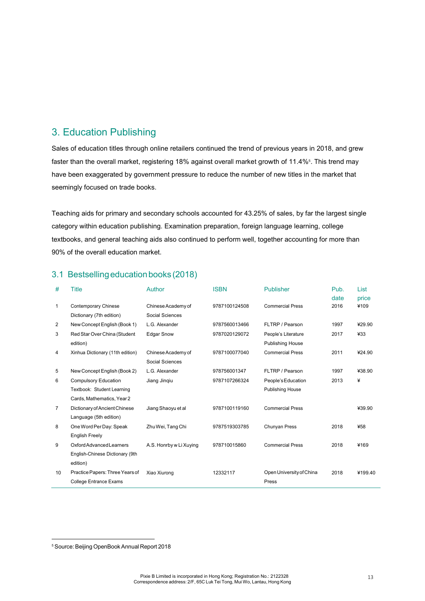### 3. Education Publishing

Sales of education titles through online retailers continued the trend of previous years in 2018, and grew faster than the overall market, registering 18% against overall market growth of 11.4%§. This trend may have been exaggerated by government pressure to reduce the number of new titles in the market that seemingly focused on trade books.

Teaching aids for primary and secondary schools accounted for 43.25% of sales, by far the largest single category within education publishing. Examination preparation, foreign language learning, college textbooks, and general teaching aids also continued to perform well, together accounting for more than 90% of the overall education market.

| #              | <b>Title</b>                                                     | Author                                | <b>ISBN</b>   | <b>Publisher</b>                               | Pub.         | List          |
|----------------|------------------------------------------------------------------|---------------------------------------|---------------|------------------------------------------------|--------------|---------------|
| 1              | <b>Contemporary Chinese</b><br>Dictionary (7th edition)          | Chinese Academy of<br>Social Sciences | 9787100124508 | <b>Commercial Press</b>                        | date<br>2016 | price<br>¥109 |
| 2              | New Concept English (Book 1)                                     | L.G. Alexander                        | 9787560013466 | FLTRP / Pearson                                | 1997         | ¥29.90        |
| 3              | Red Star Over China (Student<br>edition)                         | <b>Edgar Snow</b>                     | 9787020129072 | People's Literature<br><b>Publishing House</b> | 2017         | 433           |
| 4              | Xinhua Dictionary (11th edition)                                 | Chinese Academy of<br>Social Sciences | 9787100077040 | <b>Commercial Press</b>                        | 2011         | ¥24.90        |
| 5              | New Concept English (Book 2)                                     | L.G. Alexander                        | 978756001347  | FLTRP / Pearson                                | 1997         | ¥38.90        |
| 6              | <b>Compulsory Education</b>                                      | Jiang Jinqiu                          | 9787107266324 | People's Education                             | 2013         | ¥             |
|                | Textbook: Student Learning                                       |                                       |               | Publishing House                               |              |               |
|                | Cards, Mathematics, Year 2                                       |                                       |               |                                                |              |               |
| $\overline{7}$ | Dictionary of Ancient Chinese<br>Language (5th edition)          | Jiang Shaoyu et al                    | 9787100119160 | <b>Commercial Press</b>                        |              | ¥39.90        |
| 8              | One Word Per Day: Speak<br><b>English Freely</b>                 | Zhu Wei, Tang Chi                     | 9787519303785 | Chunyan Press                                  | 2018         | ¥58           |
| 9              | Oxford Advanced Learners<br>English-Chinese Dictionary (9th      | A.S. Honrby w Li Xuying               | 978710015860  | <b>Commercial Press</b>                        | 2018         | ¥169          |
|                | edition)                                                         |                                       |               |                                                |              |               |
| 10             | Practice Papers: Three Years of<br><b>College Entrance Exams</b> | Xiao Xiurong                          | 12332117      | Open University of China<br>Press              | 2018         | ¥199.40       |

#### 3.1 Bestsellingeducationbooks (2018)

<sup>5</sup> Source: Beijing OpenBook Annual Report 2018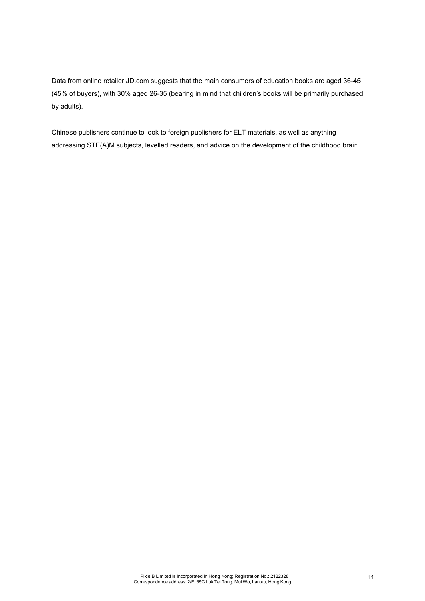Data from online retailer JD.com suggests that the main consumers of education books are aged 36-45 (45% of buyers), with 30% aged 26-35 (bearing in mind that children's books will be primarily purchased by adults).

Chinese publishers continue to look to foreign publishers for ELT materials, as well as anything addressing STE(A)M subjects, levelled readers, and advice on the development of the childhood brain.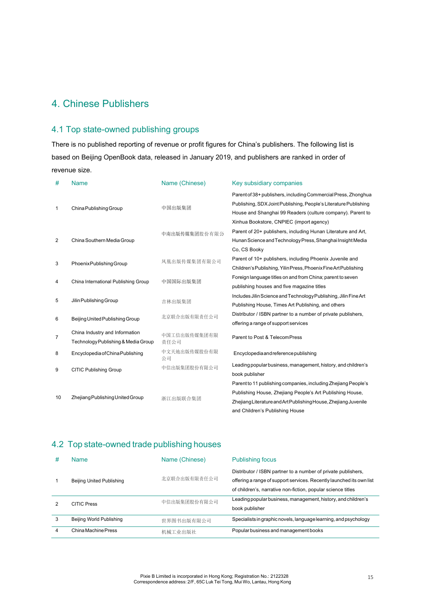### 4. Chinese Publishers

### 4.1 Top state-owned publishing groups

There is no published reporting of revenue or profit figures for China's publishers. The following list is based on Beijing OpenBook data, released in January 2019, and publishers are ranked in order of revenue size.

| #  | <b>Name</b>                                                           | Name (Chinese)       | Key subsidiary companies                                                                                                                                                                                                          |
|----|-----------------------------------------------------------------------|----------------------|-----------------------------------------------------------------------------------------------------------------------------------------------------------------------------------------------------------------------------------|
| 1  | China Publishing Group                                                | 中国出版集团               | Parent of 38+ publishers, including Commercial Press, Zhonghua<br>Publishing, SDX Joint Publishing, People's Literature Publishing<br>House and Shanghai 99 Readers (culture company). Parent to                                  |
| 2  | China Southern Media Group                                            | 中南出版传媒集团股份有限公        | Xinhua Bookstore, CNPIEC (import agency)<br>Parent of 20+ publishers, including Hunan Literature and Art,<br>Hunan Science and Technology Press, Shanghai Insight Media<br>Co. CS Booky                                           |
| 3  | Phoenix Publishing Group                                              | 凤凰出版传媒集团有限公司         | Parent of 10+ publishers, including Phoenix Juvenile and<br>Children's Publishing, Yilin Press, Phoenix Fine Art Publishing                                                                                                       |
| 4  | China International Publishing Group                                  | 中国国际出版集团             | Foreign language titles on and from China; parent to seven<br>publishing houses and five magazine titles                                                                                                                          |
| 5  | Jilin Publishing Group                                                | 吉林出版集团               | Includes Jilin Science and Technology Publishing, Jilin Fine Art<br>Publishing House, Times Art Publishing, and others                                                                                                            |
| 6  | Beijing United Publishing Group                                       | 北京联合出版有限责任公司         | Distributor / ISBN partner to a number of private publishers,<br>offering a range of support services                                                                                                                             |
| 7  | China Industry and Information<br>Technology Publishing & Media Group | 中国工信出版传媒集团有限<br>责任公司 | Parent to Post & TelecomPress                                                                                                                                                                                                     |
| 8  | Encyclopedia of China Publishing                                      | 中文天地出版传媒股份有限<br>公司   | Encyclopedia and reference publishing                                                                                                                                                                                             |
| 9  | <b>CITIC Publishing Group</b>                                         | 中信出版集团股份有限公司         | Leading popular business, management, history, and children's<br>book publisher                                                                                                                                                   |
| 10 | Zhejiang Publishing United Group                                      | 浙江出版联合集团             | Parent to 11 publishing companies, including Zhejiang People's<br>Publishing House, Zhejiang People's Art Publishing House,<br>Zhejiang Literature and Art Publishing House, Zhejiang Juvenile<br>and Children's Publishing House |

### 4.2 Top state-owned trade publishing houses

| # | <b>Name</b>                      | Name (Chinese) | <b>Publishing focus</b>                                                                                                                                                                               |
|---|----------------------------------|----------------|-------------------------------------------------------------------------------------------------------------------------------------------------------------------------------------------------------|
|   | <b>Beijing United Publishing</b> | 北京联合出版有限责任公司   | Distributor / ISBN partner to a number of private publishers,<br>offering a range of support services. Recently launched its own list<br>of children's, narrative non-fiction, popular science titles |
|   | <b>CITIC Press</b>               | 中信出版集团股份有限公司   | Leading popular business, management, history, and children's<br>book publisher                                                                                                                       |
| 3 | Beijing World Publishing         | 世界图书出版有限公司     | Specialists in graphic novels, language learning, and psychology                                                                                                                                      |
| 4 | China Machine Press              | 机械工业出版社        | Popular business and management books                                                                                                                                                                 |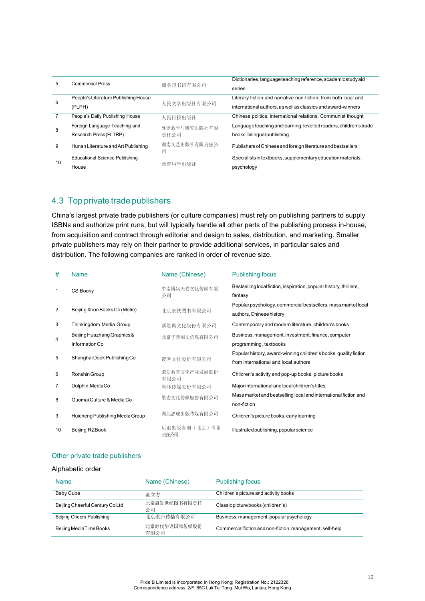| 5  | <b>Commercial Press</b>               |                   | Dictionaries, language teaching reference, academic study aid      |
|----|---------------------------------------|-------------------|--------------------------------------------------------------------|
|    |                                       | 商务印书馆有限公司         | series                                                             |
|    | People's Literature Publishing House  |                   | Literary fiction and narrative non-fiction, from both local and    |
| 6  | (PLPH)                                | 人民文学出版社有限公司       | international authors, as well as classics and award-winners       |
|    | People's Daily Publishing House       | 人民日报出版社           | Chinese politics, international relations, Communist thought       |
|    | Foreign Language Teaching and         | 外语教学与研究出版社有限      | Language teaching and learning, levelled readers, children's trade |
| 8  | Research Press (FLTRP)                | 毒仟公司              | books, bilingual publishing                                        |
| 9  | Hunan Literature and Art Publishing   | 湖南文艺出版社有限责任公<br>司 | Publishers of Chinese and foreign literature and bestsellers       |
| 10 | <b>Educational Science Publishing</b> |                   | Specialists in textbooks, supplementary education materials,       |
|    | House                                 | 教育科学出版社           | psychology                                                         |

### 4.3 Top private trade publishers

China's largest private trade publishers (or culture companies) must rely on publishing partners to supply ISBNs and authorize print runs, but will typically handle all other parts of the publishing process in-house, from acquisition and contract through editorial and design to sales, distribution, and marketing. Smaller private publishers may rely on their partner to provide additional services, in particular sales and distribution. The following companies are ranked in order of revenue size.

| #  | <b>Name</b>                     | Name (Chinese)       | <b>Publishing focus</b>                                                                                  |
|----|---------------------------------|----------------------|----------------------------------------------------------------------------------------------------------|
| 1  | CS Booky                        | 中南博集天卷文化传媒有限<br>公司   | Bestselling local fiction, inspiration, popular history, thrillers,<br>fantasy                           |
| 2  | Beijing Xiron Books Co (Motie)  | 北京磨铁图书有限公司           | Popular psychology, commercial bestsellers, mass market local<br>authors, Chinese history                |
| 3  | Thinkingdom Media Group         | 新经典文化股份有限公司          | Contemporary and modern literature, children's books                                                     |
| 4  | Beijing Huazhang Graphics &     | 北京华章图文信息有限公司         | Business, management, investment, finance, computer                                                      |
|    | Information Co                  |                      | programming, textbooks                                                                                   |
| 5  | Shanghai Dook Publishing Co     | 读客文化股份有限公司           | Popular history, award-winning children's books, quality fiction<br>from international and local authors |
| 6  | Ronshin Group                   | 荣信教育文化产业发展股份<br>有限公司 | Children's activity and pop-up books, picture books                                                      |
| 7  | Dolphin MediaCo                 | 海豚传媒股份有限公司           | Major international and local children's titles                                                          |
| 8  | Guomai Culture & Media Co       | 果麦文化传媒股份有限公司         | Mass market and bestselling local and international fiction and<br>non-fiction                           |
| 9  | Huicheng Publishing Media Group | 湖北惠成出版传媒有限公司         | Children's picture books, early learning                                                                 |
| 10 | Beijing RZBook                  | 后浪出版咨询(北京)有限<br>责任公司 | Illustrated publishing, popular science                                                                  |

#### Other private trade publishers

#### Alphabetic order

| <b>Name</b>                      | Name (Chinese)       | <b>Publishing focus</b>                                   |
|----------------------------------|----------------------|-----------------------------------------------------------|
| Baby Cube                        | 童立方                  | Children's picture and activity books                     |
| Beijing Cheerful Century Co Ltd  | 北京启发世纪图书有限责任<br>公司   | Classic picture books (children's)                        |
| <b>Beijing Cheers Publishing</b> | 北京湛庐传播有限公司           | Business, management, popular psychology                  |
| Beijing MediaTime Books          | 北京时代华语国际传媒股份<br>有限公司 | Commercial fiction and non-fiction, management, self-help |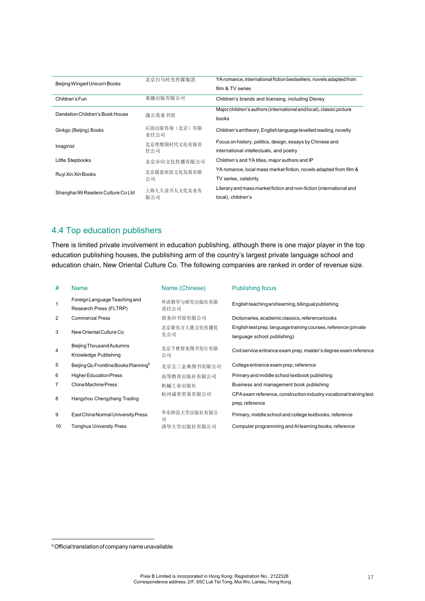| Beijing Winged Unicorn Books       | 北京白马时光传媒集团           | YA romance, international fiction bestsellers, novels adapted from<br>film & TV series |
|------------------------------------|----------------------|----------------------------------------------------------------------------------------|
| Children's Fun                     | 童趣出版有限公司             | Children's brands and licensing, including Disney                                      |
| Dandelion Children's Book House    |                      | Major children's authors (international and local), classic picture                    |
|                                    | 蒲公英童书馆               | books                                                                                  |
| Ginkgo (Beijing) Books             | 后浪出版咨询(北京)有限<br>责任公司 | Children's art theory, English language levelled reading, novelty                      |
| Imaginist                          | 北京理想国时代文化有限责         | Focus on history, politics, design, essays by Chinese and                              |
|                                    | 任公司                  | international intellectuals, and poetry                                                |
| Little Stepbooks                   | 北京步印文化传播有限公司         | Children's and YA titles, major authors and IP                                         |
|                                    | 北京儒意欣欣文化发展有限<br>公司   | YA romance, local mass market fiction, novels adapted from film &                      |
| Ruyi Xin Xin Books                 |                      | TV series, celebrity                                                                   |
|                                    | 上海九久读书人文化实业有         | Literary and mass market fiction and non-fiction (international and                    |
| Shanghai 99 Readers Culture Co Ltd | 限公司                  | local), children's                                                                     |

### 4.4 Top education publishers

There is limited private involvement in education publishing, although there is one major player in the top education publishing houses, the publishing arm of the country's largest private language school and education chain, New Oriental Culture Co. The following companies are ranked in order of revenue size.

| #  | <b>Name</b>                                             | Name (Chinese)       | <b>Publishing focus</b>                                            |
|----|---------------------------------------------------------|----------------------|--------------------------------------------------------------------|
| 1  | Foreign Language Teaching and<br>Research Press (FLTRP) | 外语教学与研究出版社有限<br>责任公司 | English teaching and learning, bilingual publishing                |
| 2  | <b>Commercial Press</b>                                 | 商务印书馆有限公司            | Dictionaries, academic classics, reference books                   |
| 3  | New Oriental Culture Co                                 | 北京新东方大愚文化传播优         | English test prep, language training courses, reference (private   |
|    |                                                         | 先公司                  | language school publishing)                                        |
| 4  | Beijing Thousand Autumns                                | 北京千秋智业图书发行有限         | Civil service entrance exam prep, master's degree exam reference   |
|    | Knowledge Publishing                                    | 公司                   |                                                                    |
| 5  | Beijing Qu Frontline Books Planning <sup>6</sup>        | 北京五三金典图书有限公司         | College entrance exam prep, reference                              |
| 6  | <b>HigherEducation Press</b>                            | 高等教育出版社有限公司          | Primary and middle school textbook publishing                      |
| 7  | China Machine Press                                     | 机械工业出版社              | Business and management book publishing                            |
| 8  | Hangzhou Chengzhang Trading                             | 杭州诚章贸易有限公司           | CPA exam reference, construction industry vocational training test |
|    |                                                         |                      | prep, reference                                                    |
| 9  | East China Normal University Press                      | 华东师范大学出版社有限公<br>큷    | Primary, middle school and college textbooks, reference            |
| 10 | <b>Tsinghua University Press</b>                        | 清华大学出版社有限公司          | Computer programming and Allearning books, reference               |

<sup>6</sup> Official translation of company name unavailable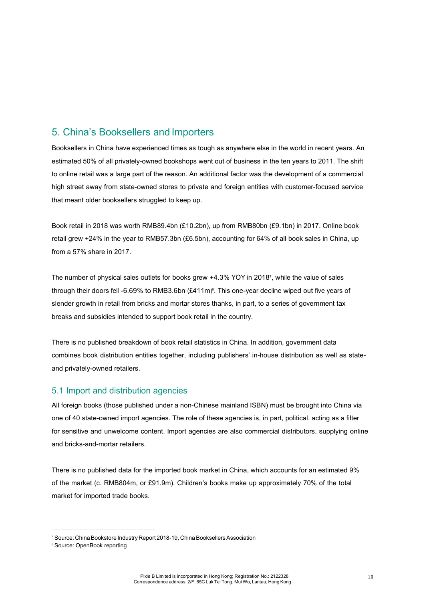### 5. China's Booksellers and Importers

Booksellers in China have experienced times as tough as anywhere else in the world in recent years. An estimated 50% of all privately-owned bookshops went out of business in the ten years to 2011. The shift to online retail was a large part of the reason. An additional factor was the development of a commercial high street away from state-owned stores to private and foreign entities with customer-focused service that meant older booksellers struggled to keep up.

Book retail in 2018 was worth RMB89.4bn (£10.2bn), up from RMB80bn (£9.1bn) in 2017. Online book retail grew +24% in the year to RMB57.3bn (£6.5bn), accounting for 64% of all book sales in China, up from a 57% share in 2017.

The number of physical sales outlets for books grew +4.3% YOY in 20187 , while the value of sales through their doors fell -6.69% to RMB3.6bn (£411m)<sup>s</sup>. This one-year decline wiped out five years of slender growth in retail from bricks and mortar stores thanks, in part, to a series of government tax breaks and subsidies intended to support book retail in the country.

There is no published breakdown of book retail statistics in China. In addition, government data combines book distribution entities together, including publishers' in-house distribution as well as stateand privately-owned retailers.

#### 5.1 Import and distribution agencies

All foreign books (those published under a non-Chinese mainland ISBN) must be brought into China via one of 40 state-owned import agencies. The role of these agencies is, in part, political, acting as a filter for sensitive and unwelcome content. Import agencies are also commercial distributors, supplying online and bricks-and-mortar retailers.

There is no published data for the imported book market in China, which accounts for an estimated 9% of the market (c. RMB804m, or £91.9m). Children's books make up approximately 70% of the total market for imported trade books.

<sup>&</sup>lt;sup>7</sup> Source: China Bookstore Industry Report 2018-19, China Booksellers Association

<sup>8</sup> Source: OpenBook reporting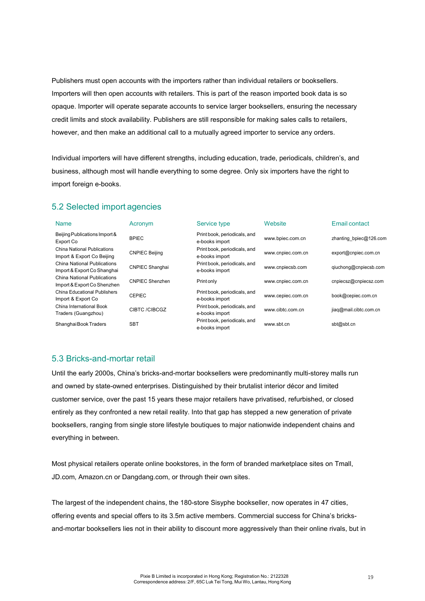Publishers must open accounts with the importers rather than individual retailers or booksellers. Importers will then open accounts with retailers. This is part of the reason imported book data is so opaque. Importer will operate separate accounts to service larger booksellers, ensuring the necessary credit limits and stock availability. Publishers are still responsible for making sales calls to retailers, however, and then make an additional call to a mutually agreed importer to service any orders.

Individual importers will have different strengths, including education, trade, periodicals, children's, and business, although most will handle everything to some degree. Only six importers have the right to import foreign e-books.

#### 5.2 Selected import agencies

| <b>Name</b>                                                | Acronym                | Service type                                   | Website           | Email contact          |
|------------------------------------------------------------|------------------------|------------------------------------------------|-------------------|------------------------|
| Beijing Publications Import &<br>Export Co                 | <b>BPIEC</b>           | Print book, periodicals, and<br>e-books import | www.bpiec.com.cn  | zhanting_bpiec@126.com |
| China National Publications<br>Import & Export Co Beijing  | <b>CNPIEC Beijing</b>  | Print book, periodicals, and<br>e-books import | www.cnpiec.com.cn | export@cnpiec.com.cn   |
| China National Publications<br>Import & Export Co Shanghai | <b>CNPIEC Shanghai</b> | Print book, periodicals, and<br>e-books import | www.cnpiecsb.com  | giuchong@cnpiecsb.com  |
| China National Publications<br>Import & Export Co Shenzhen | CNPIEC Shenzhen        | Print only                                     | www.cnpiec.com.cn | cnpiecsz@cnpiecsz.com  |
| China Educational Publishers<br>Import & Export Co         | <b>CEPIEC</b>          | Print book, periodicals, and<br>e-books import | www.cepiec.com.cn | book@cepiec.com.cn     |
| China International Book<br>Traders (Guangzhou)            | CIBTC/CIBCGZ           | Print book, periodicals, and<br>e-books import | www.cibtc.com.cn  | jiaq@mail.cibtc.com.cn |
| Shanghai Book Traders                                      | <b>SBT</b>             | Print book, periodicals, and<br>e-books import | www.sbt.cn        | sbt@sbt.cn             |

#### 5.3 Bricks-and-mortar retail

Until the early 2000s, China's bricks-and-mortar booksellers were predominantly multi-storey malls run and owned by state-owned enterprises. Distinguished by their brutalist interior décor and limited customer service, over the past 15 years these major retailers have privatised, refurbished, or closed entirely as they confronted a new retail reality. Into that gap has stepped a new generation of private booksellers, ranging from single store lifestyle boutiques to major nationwide independent chains and everything in between.

Most physical retailers operate online bookstores, in the form of branded marketplace sites on Tmall, JD.com, Amazon.cn or Dangdang.com, or through their own sites.

The largest of the independent chains, the 180-store Sisyphe bookseller, now operates in 47 cities, offering events and special offers to its 3.5m active members. Commercial success for China's bricksand-mortar booksellers lies not in their ability to discount more aggressively than their online rivals, but in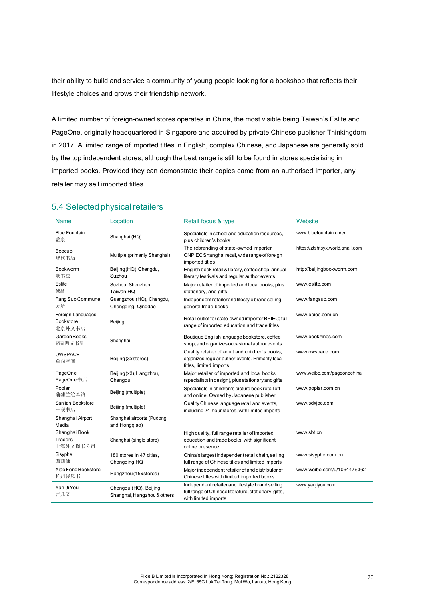their ability to build and service a community of young people looking for a bookshop that reflects their lifestyle choices and grows their friendship network.

A limited number of foreign-owned stores operates in China, the most visible being Taiwan's Eslite and PageOne, originally headquartered in Singapore and acquired by private Chinese publisher Thinkingdom in 2017. A limited range of imported titles in English, complex Chinese, and Japanese are generally sold by the top independent stores, although the best range is still to be found in stores specialising in imported books. Provided they can demonstrate their copies came from an authorised importer, any retailer may sell imported titles.

#### 5.4 Selected physical retailers

| Name                                            | Location                                              | Retail focus & type                                                                                                              | Website                          |
|-------------------------------------------------|-------------------------------------------------------|----------------------------------------------------------------------------------------------------------------------------------|----------------------------------|
| <b>Blue Fountain</b><br>蓝泉                      | Shanghai (HQ)                                         | Specialists in school and education resources,<br>plus children's books                                                          | www.bluefountain.cn/en           |
| Boocup<br>现代书店                                  | Multiple (primarily Shanghai)                         | The rebranding of state-owned importer<br>CNPIEC Shanghai retail, wide range of foreign<br>imported titles                       | https://ztshtsyx.world.tmall.com |
| Bookworm<br>老书虫                                 | Beijing (HQ), Chengdu,<br>Suzhou                      | English book retail & library, coffee shop, annual<br>literary festivals and regular author events                               | http://beijingbookworm.com       |
| <b>Eslite</b><br>诚品                             | Suzhou, Shenzhen<br>Taiwan HQ                         | Major retailer of imported and local books, plus<br>stationary, and gifts                                                        | www.eslite.com                   |
| Fang Suo Commune<br>方所                          | Guangzhou (HQ), Chengdu,<br>Chongqing, Qingdao        | Independent retailer and lifestyle brand selling<br>general trade books                                                          | www.fangsuo.com                  |
| Foreign Languages<br><b>Bookstore</b><br>北京外文书店 | Beijing                                               | Retail outlet for state-owned importer BPIEC; full<br>range of imported education and trade titles                               | www.bpiec.com.cn                 |
| <b>GardenBooks</b><br>韬奋西文书局                    | Shanghai                                              | Boutique English language bookstore, coffee<br>shop, and organizes occasional author events                                      | www.bookzines.com                |
| <b>OWSPACE</b><br>单向空间                          | Beijing (3xstores)                                    | Quality retailer of adult and children's books,<br>organizes regular author events. Primarily local<br>titles, limited imports   | www.owspace.com                  |
| PageOne<br>PageOne 书店                           | Beijing (x3), Hangzhou,<br>Chengdu                    | Major retailer of imported and local books<br>(specialists in design), plus stationary and gifts                                 | www.weibo.com/pageonechina       |
| Poplar<br>蒲蒲兰绘本馆                                | Beijing (multiple)                                    | Specialists in children's picture book retail off-<br>and online. Owned by Japanese publisher                                    | www.poplar.com.cn                |
| Sanlian Bookstore<br>三联书店                       | Beijing (multiple)                                    | Quality Chinese language retail and events,<br>including 24-hour stores, with limited imports                                    | www.sdxjpc.com                   |
| Shanghai Airport<br>Media                       | Shanghai airports (Pudong<br>and Hongqiao)            |                                                                                                                                  |                                  |
| Shanghai Book<br><b>Traders</b><br>上海外文图书公司     | Shanghai (single store)                               | High quality, full range retailer of imported<br>education and trade books, with significant<br>online presence                  | www.sbt.cn                       |
| Sisyphe<br>西西佛                                  | 180 stores in 47 cities,<br>Chongqing HQ              | China's largest independent retail chain, selling<br>full range of Chinese titles and limited imports                            | www.sisyphe.com.cn               |
| Xiao Feng Bookstore<br>杭州晓风书                    | Hangzhou (15xstores)                                  | Major independent retailer of and distributor of<br>Chinese titles with limited imported books                                   | www.weibo.com/u/1064476362       |
| Yan JiYou<br>言几又                                | Chengdu (HQ), Beijing,<br>Shanghai, Hangzhou & others | Independent retailer and lifestyle brand selling<br>full range of Chinese literature, stationary, gifts,<br>with limited imports | www.yanjiyou.com                 |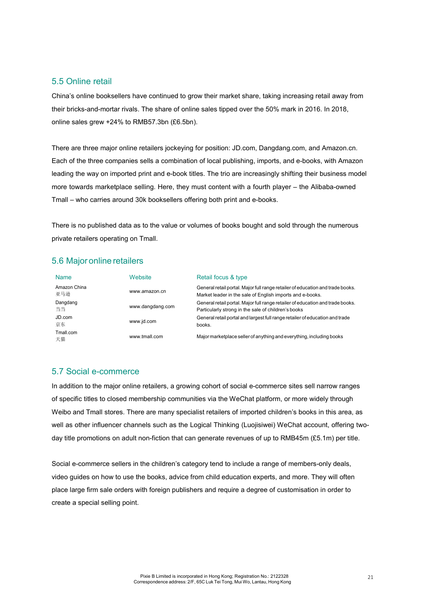#### 5.5 Online retail

China's online booksellers have continued to grow their market share, taking increasing retail away from their bricks-and-mortar rivals. The share of online sales tipped over the 50% mark in 2016. In 2018, online sales grew +24% to RMB57.3bn (£6.5bn).

There are three major online retailers jockeying for position: JD.com, Dangdang.com, and Amazon.cn. Each of the three companies sells a combination of local publishing, imports, and e-books, with Amazon leading the way on imported print and e-book titles. The trio are increasingly shifting their business model more towards marketplace selling. Here, they must content with a fourth player – the Alibaba-owned Tmall – who carries around 30k booksellers offering both print and e-books.

There is no published data as to the value or volumes of books bought and sold through the numerous private retailers operating on Tmall.

#### 5.6 Major online retailers

| <b>Name</b>         | Website          | Retail focus & type                                                                                                                         |
|---------------------|------------------|---------------------------------------------------------------------------------------------------------------------------------------------|
| Amazon China<br>亚马逊 | www.amazon.cn    | General retail portal. Major full range retailer of education and trade books.<br>Market leader in the sale of English imports and e-books. |
| Dangdang<br>当当      | www.dangdang.com | General retail portal. Major full range retailer of education and trade books.<br>Particularly strong in the sale of children's books       |
| JD.com<br>京东        | www.jd.com       | General retail portal and largest full range retailer of education and trade<br>books.                                                      |
| Tmall.com<br>天猫     | www.tmall.com    | Major marketplace seller of anything and everything, including books                                                                        |

#### 5.7 Social e-commerce

In addition to the major online retailers, a growing cohort of social e-commerce sites sell narrow ranges of specific titles to closed membership communities via the WeChat platform, or more widely through Weibo and Tmall stores. There are many specialist retailers of imported children's books in this area, as well as other influencer channels such as the Logical Thinking (Luojisiwei) WeChat account, offering twoday title promotions on adult non-fiction that can generate revenues of up to RMB45m (£5.1m) per title.

Social e-commerce sellers in the children's category tend to include a range of members-only deals, video guides on how to use the books, advice from child education experts, and more. They will often place large firm sale orders with foreign publishers and require a degree of customisation in order to create a special selling point.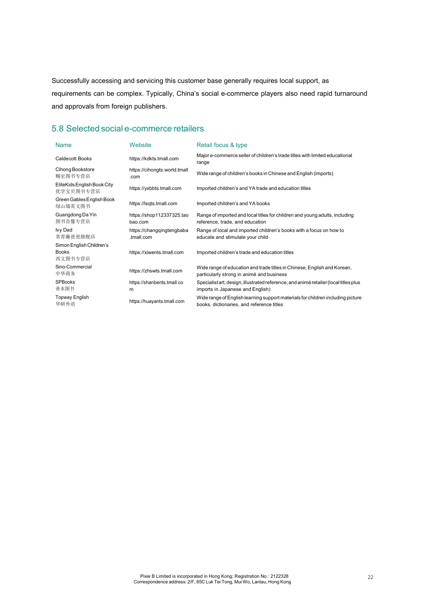Successfully accessing and servicing this customer base generally requires local support, as requirements can be complex. Typically, China's social e-commerce players also need rapid turnaround and approvals from foreign publishers.

### 5.8 Selected social e-commerce retailers

| <b>Name</b>                                         | Website                                 | Retail focus & type                                                                                                          |
|-----------------------------------------------------|-----------------------------------------|------------------------------------------------------------------------------------------------------------------------------|
| <b>Caldecott Books</b>                              | https://kdkts.tmall.com                 | Major e-commerce seller of children's trade titles with limited educational<br>range                                         |
| Cihong Bookstore<br>赐宏图书专营店                         | https://cihongts.world.tmall<br>.com    | Wide range of children's books in Chinese and English (imports)                                                              |
| EliteKids English Book City<br>优学宝贝图书专营店            | https://yxbbts.tmall.com                | Imported children's and YA trade and education titles                                                                        |
| Green Gables English Book<br>绿山墙英文图书                | https://lsqts.tmall.com                 | Imported children's and YA books                                                                                             |
| Guangdong Da Yin<br>图书音像专营店                         | https://shop112337325.tao<br>bao.com    | Range of imported and local titles for children and young adults, including<br>reference, trade, and education               |
| Ivy Dad<br>常青藤爸爸旗舰店                                 | https://changqingtengbaba<br>.tmall.com | Range of local and imported children's books with a focus on how to<br>educate and stimulate your child                      |
| Simon English Children's<br><b>Books</b><br>西文图书专营店 | https://xiwents.tmall.com               | Imported children's trade and education titles                                                                               |
| Sino-Commercial<br>中华商务                             | https://zhswts.tmall.com                | Wide range of education and trade titles in Chinese, English and Korean,<br>particularly strong in animé and business        |
| <b>SPBooks</b><br>善本图书                              | https://shanbents.tmall.co<br>m         | Specialist art, design, illustrated reference, and animé retailer (local titles plus<br>imports in Japanese and English)     |
| <b>Topway English</b><br>华研外语                       | https://huayants.tmall.com              | Wide range of English learning support materials for children including picture<br>books, dictionaries, and reference titles |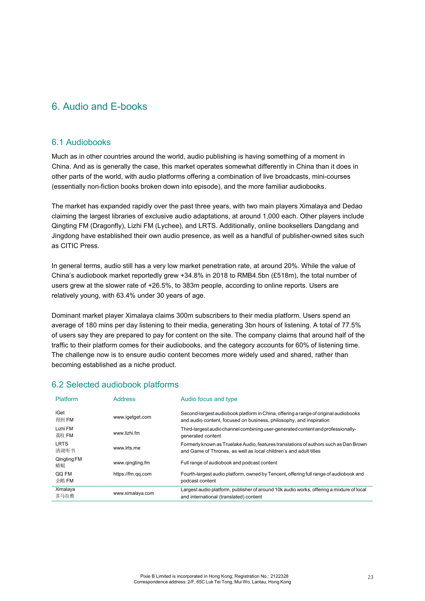### 6. Audio and E-books

#### 6.1 Audiobooks

Much as in other countries around the world, audio publishing is having something of a moment in China. And as is generally the case, this market operates somewhat differently in China than it does in other parts of the world, with audio platforms offering a combination of live broadcasts, mini-courses (essentially non-fiction books broken down into episode), and the more familiar audiobooks.

The market has expanded rapidly over the past three years, with two main players Ximalaya and Dedao claiming the largest libraries of exclusive audio adaptations, at around 1,000 each. Other players include Qingting FM (Dragonfly), Lizhi FM (Lychee), and LRTS. Additionally, online booksellers Dangdang and Jingdong have established their own audio presence, as well as a handful of publisher-owned sites such as CITIC Press.

In general terms, audio still has a very low market penetration rate, at around 20%. While the value of China's audiobook market reportedly grew +34.8% in 2018 to RMB4.5bn (£518m), the total number of users grew at the slower rate of +26.5%, to 383m people, according to online reports. Users are relatively young, with 63.4% under 30 years of age.

Dominant market player Ximalaya claims 300m subscribers to their media platform. Users spend an average of 180 mins per day listening to their media, generating 3bn hours of listening. A total of 77.5% of users say they are prepared to pay for content on the site. The company claims that around half of the traffic to their platform comes for their audiobooks, and the category accounts for 60% of listening time. The challenge now is to ensure audio content becomes more widely used and shared, rather than becoming established as a niche product.

#### 6.2 Selected audiobook platforms

| <b>Platform</b>     | <b>Address</b>    | Audio focus and type                                                                                                                                       |
|---------------------|-------------------|------------------------------------------------------------------------------------------------------------------------------------------------------------|
| iGet<br>得到 FM       | www.igetget.com   | Second-largest audiobook platform in China, offering a range of original audiobooks<br>and audio content, focused on business, philosophy, and inspiration |
| Lizhi FM<br>荔枝 FM   | www.lizhi.fm      | Third-largest audio channel combining user-generated content and professionally-<br>generated content                                                      |
| <b>LRTS</b><br>清湖听书 | www.lrts.me       | Formerly known as Truelake Audio, features translations of authors such as Dan Brown<br>and Game of Thrones, as well as local children's and adult titles  |
| Qingting FM<br>蜻蜓   | www.gingting.fm   | Full range of audiobook and podcast content                                                                                                                |
| QQ FM<br>企鹅 FM      | https://fm.gg.com | Fourth-largest audio platform, owned by Tencent, offering full range of audiobook and<br>podcast content                                                   |
| Ximalaya<br>喜马拉雅    | www.ximalaya.com  | Largest audio platform, publisher of around 10k audio works, offering a mixture of local<br>and international (translated) content                         |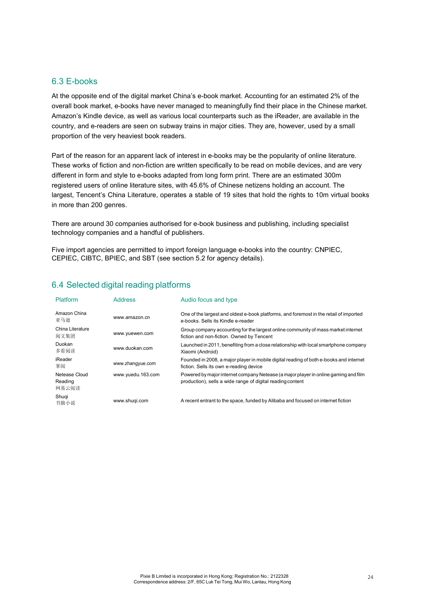#### 6.3 E-books

At the opposite end of the digital market China's e-book market. Accounting for an estimated 2% of the overall book market, e-books have never managed to meaningfully find their place in the Chinese market. Amazon's Kindle device, as well as various local counterparts such as the iReader, are available in the country, and e-readers are seen on subway trains in major cities. They are, however, used by a small proportion of the very heaviest book readers.

Part of the reason for an apparent lack of interest in e-books may be the popularity of online literature. These works of fiction and non-fiction are written specifically to be read on mobile devices, and are very different in form and style to e-books adapted from long form print. There are an estimated 300m registered users of online literature sites, with 45.6% of Chinese netizens holding an account. The largest, Tencent's China Literature, operates a stable of 19 sites that hold the rights to 10m virtual books in more than 200 genres.

There are around 30 companies authorised for e-book business and publishing, including specialist technology companies and a handful of publishers.

Five import agencies are permitted to import foreign language e-books into the country: CNPIEC, CEPIEC, CIBTC, BPIEC, and SBT (see section 5.2 for agency details).

| Platform                          | <b>Address</b>    | Audio focus and type                                                                                                                              |
|-----------------------------------|-------------------|---------------------------------------------------------------------------------------------------------------------------------------------------|
| Amazon China<br>亚马逊               | www.amazon.cn     | One of the largest and oldest e-book platforms, and foremost in the retail of imported<br>e-books. Sells its Kindle e-reader                      |
| China Literature<br>阅文集团          | www.yuewen.com    | Group company accounting for the largest online community of mass market internet<br>fiction and non-fiction. Owned by Tencent                    |
| Duokan<br>多看阅读                    | www.duokan.com    | Launched in 2011, benefiting from a close relationship with local smartphone company<br>Xiaomi (Android)                                          |
| iReader<br>掌阅                     | www.zhangyue.com  | Founded in 2008, a major player in mobile digital reading of both e-books and internet<br>fiction. Sells its own e-reading device                 |
| Netease Cloud<br>Reading<br>网易云阅读 | www.yuedu.163.com | Powered by major internet company Netease (a major player in online gaming and film<br>production), sells a wide range of digital reading content |
| Shugi<br>书旗小说                     | www.shugi.com     | A recent entrant to the space, funded by Alibaba and focused on internet fiction                                                                  |

#### 6.4 Selected digital reading platforms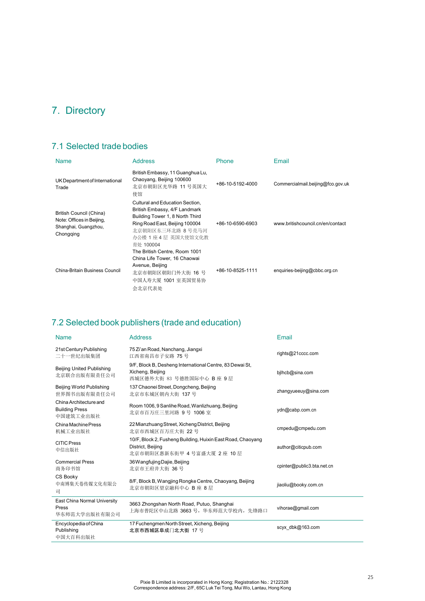# 7. Directory

### 7.1 Selected trade bodies

| <b>Name</b>                                                                               | <b>Address</b>                                                                                                                                                                                 | Phone            | Email                             |
|-------------------------------------------------------------------------------------------|------------------------------------------------------------------------------------------------------------------------------------------------------------------------------------------------|------------------|-----------------------------------|
| UK Department of International<br>Trade                                                   | British Embassy, 11 Guanghua Lu,<br>Chaoyang, Beijing 100600<br>北京市朝阳区光华路 11 号英国大<br>使馆                                                                                                        | +86-10-5192-4000 | Commercialmail.beijing@fco.gov.uk |
| British Council (China)<br>Note: Offices in Beijing,<br>Shanghai, Guangzhou,<br>Chongqing | Cultural and Education Section,<br>British Embassy, 4/F Landmark<br>Building Tower 1, 8 North Third<br>Ring Road East, Beijing 100004<br>北京朝阳区东三环北路 8号亮马河<br>办公楼 1 座 4 层 英国大使馆文化教<br>育处 100004 | +86-10-6590-6903 | www.britishcouncil.cn/en/contact  |
| China-Britain Business Council                                                            | The British Centre, Room 1001<br>China Life Tower, 16 Chaowai<br>Avenue, Beijing<br>北京市朝阳区朝阳门外大街 16 号<br>中国人寿大厦 1001 室英国贸易协<br>会北京代表处                                                          | +86-10-8525-1111 | enquiries-beijing@cbbc.org.cn     |

### 7.2 Selected book publishers (trade and education)

| <b>Name</b>                                                  | <b>Address</b>                                                                                                | Email                      |
|--------------------------------------------------------------|---------------------------------------------------------------------------------------------------------------|----------------------------|
| 21st Century Publishing<br>二十一世纪出版集团                         | 75 Zi'an Road, Nanchang, Jiangxi<br>江西省南昌市子安路 75号                                                             | rights@21cccc.com          |
| <b>Beijing United Publishing</b><br>北京联合出版有限责任公司             | 9/F, Block B, Desheng International Centre, 83 Dewai St,<br>Xicheng, Beijing<br>西城区德外大街 83 号德胜国际中心 B 座 9 层    | bilhcb@sina.com            |
| Beijing World Publishing<br>世界图书出版有限责任公司                     | 137 Chaonei Street, Dongcheng, Beijing<br>北京市东城区朝内大街 137号                                                     | zhangyueeuy@sina.com       |
| China Architecture and<br><b>Building Press</b><br>中国建筑工业出版社 | Room 1006, 9 Sanlihe Road, Wanlizhuang, Beijing<br>北京市百万庄三里河路 9号 1006室                                        | ydn@cabp.com.cn            |
| China Machine Press<br>机械工业出版社                               | 22 Mianzhuang Street, Xicheng District, Beijing<br>北京市西城区百万庄大街 22号                                            | cmpedu@cmpedu.com          |
| <b>CITIC Press</b><br>中信出版社                                  | 10/F, Block 2, Fusheng Building, Huixin East Road, Chaoyang<br>District, Beijing<br>北京市朝阳区惠新东街甲 4号富盛大厦 2座 10层 | author@citicpub.com        |
| <b>Commercial Press</b><br>商务印书馆                             | 36 Wangfujing Dajie, Beijing<br>北京市王府井大街 36号                                                                  | cpinter@public3.bta.net.cn |
| CS Booky<br>中南博集天卷传媒文化有限公<br>司                               | 8/F, Block B, Wangjing Rongke Centre, Chaoyang, Beijing<br>北京市朝阳区望京融科中心 B 座 8 层                               | jiaoliu@booky.com.cn       |
| East China Normal University<br>Press<br>华东师范大学出版社有限公司       | 3663 Zhongshan North Road, Putuo, Shanghai<br>上海市普陀区中山北路 3663 号, 华东师范大学校内, 先锋路口                               | vihorae@gmail.com          |
| Encyclopedia of China<br>Publishing<br>中国大百科出版社              | 17 Fuchengmen North Street, Xicheng, Beijing<br>北京市西城区阜成门北大街 17号                                              | scyx dbk@163.com           |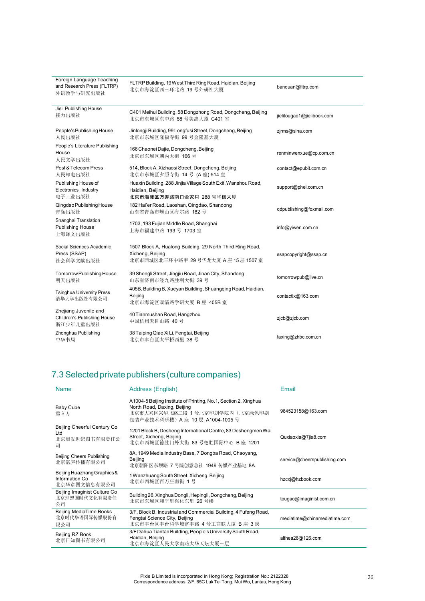| Foreign Language Teaching<br>and Research Press (FLTRP)<br>外语教学与研究出版社 | FLTRP Building, 19 West Third Ring Road, Haidian, Beijing<br>北京市海淀区西三环北路 19号外研社大厦                                   | banquan@fltrp.com          |
|-----------------------------------------------------------------------|---------------------------------------------------------------------------------------------------------------------|----------------------------|
| Jieli Publishing House<br>接力出版社                                       | C401 Meihui Building, 58 Dongzhong Road, Dongcheng, Beijing<br>北京市东城区东中路 58 号美惠大厦 C401 室                            | jielitougao1@jielibook.com |
| People's Publishing House<br>人民出版社                                    | Jinlongji Building, 99 Longfusi Street, Dongcheng, Beijing<br>北京市东城区隆福寺街 99号金隆基大厦                                   | zjrms@sina.com             |
| People's Literature Publishing<br>House<br>人民文学出版社                    | 166 Chaonei Dajie, Dongcheng, Beijing<br>北京市东城区朝内大街 166号                                                            | renminwenxue@cp.com.cn     |
| Post & Telecom Press<br>人民邮电出版社                                       | 514, Block A. Xizhaosi Street, Dongcheng, Beijing<br>北京市东城区夕照寺街 14号 (A座) 514室                                       | contact@epubit.com.cn      |
| Publishing House of<br>Electronics Industry<br>电子工业出版社                | Huaxin Building, 288 Jinjia Village South Exit, Wanshou Road,<br>Haidian, Beijing<br>北京市海淀区万寿路南口金家村 288 号华信大厦       | support@phei.com.cn        |
| Qingdao Publishing House<br>青岛出版社                                     | 182 Hai'er Road, Laoshan, Qingdao, Shandong<br>山东省青岛市崂山区海尔路 182号                                                    | qdpublishing@foxmail.com   |
| Shanghai Translation<br><b>Publishing House</b><br>上海译文出版社            | 1703, 193 Fujian Middle Road, Shanghai<br>上海市福建中路 193号 1703室                                                        | info@yiwen.com.cn          |
| Social Sciences Academic<br>Press (SSAP)<br>社会科学文献出版社                 | 1507 Block A, Hualong Building, 29 North Third Ring Road,<br>Xicheng, Beijing<br>北京市西城区北三环中路甲 29号华龙大厦 A座 15 层 1507室 | ssapcopyright@ssap.cn      |
| Tomorrow Publishing House<br>明天出版社                                    | 39 Shengli Street, Jingjiu Road, Jinan City, Shandong<br>山东省济南市经九路胜利大街 39号                                          | tomorrowpub@live.cn        |
| <b>Tsinghua University Press</b><br>清华大学出版社有限公司                       | 405B, Building B, Xueyan Building, Shuangqing Road, Haidian,<br>Beijing<br>北京市海淀区双清路学研大厦 B 座 405B 室                 | contactlx@163.com          |
| Zhejiang Juvenile and<br>Children's Publishing House<br>浙江少年儿童出版社     | 40 Tianmushan Road, Hangzhou<br>中国杭州天目山路 40号                                                                        | zjcb@zjcb.com              |
| Zhonghua Publishing<br>中华书局                                           | 38 Taiping Qiao Xi Li, Fengtai, Beijing<br>北京市丰台区太平桥西里 38号                                                          | faxing@zhbc.com.cn         |

# 7.3 Selected private publishers (culture companies)

| <b>Name</b>                                                    | Address (English)                                                                                                                                                    | Email                        |
|----------------------------------------------------------------|----------------------------------------------------------------------------------------------------------------------------------------------------------------------|------------------------------|
| <b>Baby Cube</b><br>童立方                                        | A1004-5 Beijing Institute of Printing, No.1, Section 2, Xinghua<br>North Road, Daxing, Beijing<br>北京市大兴区兴华北路二段 1 号北京印刷学院内(北京绿色印刷<br>包装产业技术科研楼) A 座 10 层 A1004-1005 号 | 984523158@163.com            |
| Beijing Cheerful Century Co<br>Ltd<br>北京启发世纪图书有限责任公<br>司       | 1201 Block B, Desheng International Centre, 83 Deshengmen Wai<br>Street, Xicheng, Beijing<br>北京市西城区德胜门外大街 83 号德胜国际中心 B 座 1201                                        | Quxiaoxia@7jia8.com          |
| Beijing Cheers Publishing<br>北京湛庐传播有限公司                        | 8A, 1949 Media Industry Base, 7 Dongba Road, Chaoyang,<br>Beijing<br>北京朝阳区东坝路 7 号院创意总社 1949 传媒产业基地 8A                                                                | service@cheerspublishing.com |
| Beijing Huazhang Graphics &<br>Information Co.<br>北京华章图文信息有限公司 | 1 Wanzhuang South Street, Xicheng, Beijing<br>北京市西城区百万庄南街 1号                                                                                                         | hzcxj@hzbook.com             |
| Beijing Imaginist Culture Co<br>北京理想国时代文化有限责任<br>公司            | Building 26, Xinghua Dongli, Hepingli, Dongcheng, Beijing<br>北京市东城区和平里兴化东里 26 号楼                                                                                     | tougao@imaginist.com.cn      |
| Beijing MediaTime Books<br>北京时代华语国际传媒股份有<br>限公司                | 3/F, Block B, Industrial and Commercial Building, 4 Fufeng Road,<br>Fengtai Science City, Beijing<br>北京市丰台区丰台科学城富丰路 4号工商联大厦 B 座 3 层                                  | mediatime@chinamediatime.com |
| Beijing RZ Book<br>北京日知图书有限公司                                  | 3/F Dahua Tiantan Building, People's University South Road,<br>Haidian, Beijing<br>北京市海淀区人民大学南路大华天坛大厦三层                                                              | althea26@126.com             |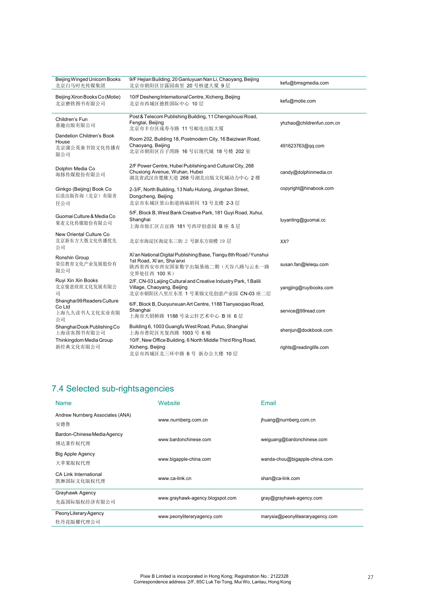| <b>Beijing Winged Unicorn Books</b><br>北京白马时光传媒集团          | 9/F Hejian Building, 20 Ganluyuan Nan Li, Chaoyang, Beijing<br>北京市朝阳区甘露园南里 20号核建大厦 9层                                                         | kefu@bmsgmedia.com        |
|------------------------------------------------------------|-----------------------------------------------------------------------------------------------------------------------------------------------|---------------------------|
| Beijing Xiron Books Co (Motie)<br>北京磨铁图书有限公司               | 10/F Desheng International Centre, Xicheng, Beijing<br>北京市西城区德胜国际中心 10 层                                                                      | kefu@motie.com            |
| Children's Fun<br>童趣出版有限公司                                 | Post & Telecom Publishing Building, 11 Chengshousi Road,<br>Fengtai, Beijing<br>北京市丰台区成寿寺路 11 号邮电出版大厦                                         | yhzhao@childrenfun.com.cn |
| Dandelion Children's Book<br>House<br>北京蒲公英童书馆文化传播有<br>限公司 | Room 202, Building 18, Postmodern City, 16 Baiziwan Road,<br>Chaoyang, Beijing<br>北京市朝阳区百子湾路 16号后现代城 18号楼 202室                                | 491623763@qq.com          |
| Dolphin Media Co<br>海豚传媒股份有限公司                             | 2/F Power Centre, Hubei Publishing and Cultural City, 268<br>Chuxiong Avenue, Wuhan, Hubei<br>湖北省武汉市楚雄大道 268 号湖北出版文化城动力中心 2楼                  | candy@dolphinmedia.cn     |
| Ginkgo (Beijing) Book Co<br>后浪出版咨询(北京)有限责<br>任公司           | 2-3/F, North Building, 13 Nafu Hutong, Jingshan Street,<br>Dongcheng, Beijing<br>北京市东城区景山街道纳福胡同 13 号北楼 2-3 层                                  | copyright@hinabook.com    |
| Guomai Culture & Media Co<br>果麦文化传媒股份有限公司                  | 5/F, Block B, West Bank Creative Park, 181 Guyi Road, Xuhui,<br>Shanghai<br>上海市徐汇区古宜路 181号西岸创意园 B座 5层                                         | luyanting@guomai.cc       |
| New Oriental Culture Co<br>北京新东方大愚文化传播优先<br>公司             | 北京市海淀区海淀东三街 2 号新东方南楼 19 层                                                                                                                     | XX?                       |
| Ronshin Group<br>荣信教育文化产业发展股份有<br>限公司                      | Xi'an National Digital Publishing Base, Tiangu 8th Road / Yunshui<br>1st Road, Xi'an, Sha'anxi<br>陕西省西安市西安国家数字出版基地二期(天谷八路与云水一路<br>交界处往西 100米) | susan.fan@lelequ.com      |
| Ruyi Xin Xin Books<br>北京儒意欣欣文化发展有限公<br>司                   | 2/F, CN-03 Laijing Cultural and Creative Industry Park, 1 Balili<br>Village, Chaoyang, Beijing<br>北京市朝阳区八里庄东里 1 号莱锦文化创意产业园 CN-03 座二层          | yangjing@ruyibooks.com    |
| Shanghai99ReadersCulture<br>Co Ltd<br>上海九久读书人文化实业有限<br>公司  | 6/F, Block B, Duoyunxuan Art Centre, 1188 Tianyaogiao Road,<br>Shanghai<br>上海市天钥桥路 1188 号朵云轩艺术中心 B 座 6 层                                      | service@99read.com        |
| Shanghai Dook Publishing Co<br>上海读客图书有限公司                  | Building 6, 1003 Guangfu West Road, Putuo, Shanghai<br>上海市普陀区光复西路 1003号 6幢                                                                    | shenjun@dookbook.com      |
| Thinkingdom Media Group<br>新经典文化有限公司                       | 10/F, New Office Building, 6 North Middle Third Ring Road,<br>Xicheng, Beijing<br>北京市西城区北三环中路 6号 新办公大楼 10层                                    | rights@readinglife.com    |

# 7.4 Selected sub-rightsagencies

| <b>Name</b>                                | Website                          | Email                            |
|--------------------------------------------|----------------------------------|----------------------------------|
| Andrew Nurnberg Associates (ANA)<br>安德鲁    | www.nurnberg.com.cn              | jhuang@nurnberg.com.cn           |
| Bardon-Chinese Media Agency<br>博达著作权代理     | www.bardonchinese.com            | weiguang@bardonchinese.com       |
| <b>Big Apple Agency</b><br>大苹果版权代理         | www.bigapple-china.com           | wanda-chou@bigapple-china.com    |
| <b>CA Link International</b><br>凯琳国际文化版权代理 | www.ca-link.cn                   | shan@ca-link.com                 |
| Grayhawk Agency<br>光磊国际版权经济有限公司            | www.grayhawk-agency.blogspot.com | gray@grayhawk-agency.com         |
| PeonyLiteraryAgency<br>牡丹花版權代理公司           | www.peonyliteraryagency.com      | marysia@peonyliteararyagency.com |